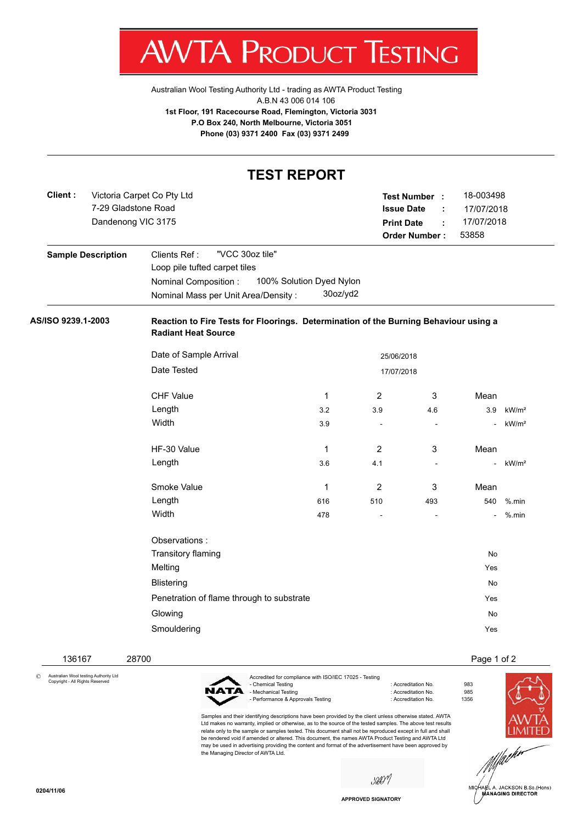V. IΑ ľ 'ROI К ł ESTING

[Australian Wool Testing Authority Ltd - trading as AWTA Product Testing](http://www.awtaproducttesting.com.au/) A.B.N 43 006 014 106 **1st Floor, 191 Racecourse Road, Flemington, Victoria 3031 P.O Box 240, North Melbourne, Victoria 3051 Phone (03) 9371 2400 Fax (03) 9371 2499**

| 18-003498<br>17/07/2018<br>17/07/2018<br>53858                                       |
|--------------------------------------------------------------------------------------|
|                                                                                      |
|                                                                                      |
| Reaction to Fire Tests for Floorings. Determination of the Burning Behaviour using a |
|                                                                                      |
|                                                                                      |
| Mean                                                                                 |
| 3.9<br>kW/m <sup>2</sup>                                                             |
| kW/m <sup>2</sup><br>÷,                                                              |
| Mean                                                                                 |
| kW/m <sup>2</sup><br>÷,                                                              |
| Mean                                                                                 |
| 540<br>$%$ .min                                                                      |
| $%$ .min                                                                             |
|                                                                                      |
| <b>No</b>                                                                            |
| Yes                                                                                  |
| <b>No</b>                                                                            |
| Yes                                                                                  |
| No                                                                                   |
| Yes                                                                                  |
|                                                                                      |

© Australian Wool testing Authority Ltd Copyright - All Rights Reserved

136167 28700 Page 1 of 2

NATA

Accredited for compliance with ISO/IEC 17025 - Testing : Accreditation No. 983<br>: Accreditation No. 985 - Mechanical Testing in a state of the control of Accreditation No. 985<br>- Performance & Approvals Testing in the control of Accreditation No. 61356 - Performance & Approvals Testing

Samples and their identifying descriptions have been provided by the client unless otherwise stated. AWTA Ltd makes no warranty, implied or otherwise, as to the source of the tested samples. The above test results relate only to the sample or samples tested. This document shall not be reproduced except in full and shall be rendered void if amended or altered. This document, the names AWTA Product Testing and AWTA Ltd may be used in advertising providing the content and format of the advertisement have been approved by the Managing Director of AWTA Ltd.

sûON